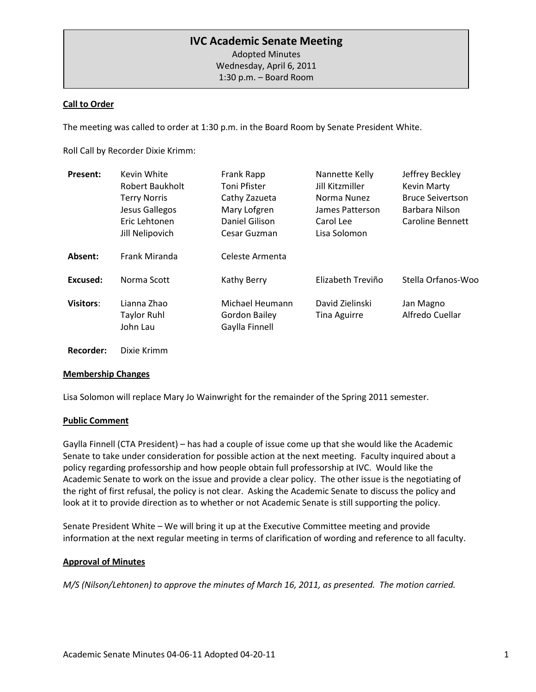# **IVC Academic Senate Meeting**

Adopted Minutes Wednesday, April 6, 2011

1:30 p.m. – Board Room

### **Call to Order**

The meeting was called to order at 1:30 p.m. in the Board Room by Senate President White.

Roll Call by Recorder Dixie Krimm:

| <b>Present:</b>  | Kevin White<br>Robert Baukholt<br><b>Terry Norris</b><br>Jesus Gallegos<br>Eric Lehtonen<br>Jill Nelipovich | Frank Rapp<br><b>Toni Pfister</b><br>Cathy Zazueta<br>Mary Lofgren<br>Daniel Gilison<br>Cesar Guzman | Nannette Kelly<br>Jill Kitzmiller<br>Norma Nunez<br>James Patterson<br>Carol Lee<br>Lisa Solomon | Jeffrey Beckley<br><b>Kevin Marty</b><br><b>Bruce Seivertson</b><br>Barbara Nilson<br>Caroline Bennett |
|------------------|-------------------------------------------------------------------------------------------------------------|------------------------------------------------------------------------------------------------------|--------------------------------------------------------------------------------------------------|--------------------------------------------------------------------------------------------------------|
| Absent:          | Frank Miranda                                                                                               | Celeste Armenta                                                                                      |                                                                                                  |                                                                                                        |
| Excused:         | Norma Scott                                                                                                 | Kathy Berry                                                                                          | Elizabeth Treviño                                                                                | Stella Orfanos-Woo                                                                                     |
| <b>Visitors:</b> | Lianna Zhao<br><b>Taylor Ruhl</b><br>John Lau                                                               | Michael Heumann<br><b>Gordon Bailey</b><br>Gaylla Finnell                                            | David Zielinski<br><b>Tina Aguirre</b>                                                           | Jan Magno<br>Alfredo Cuellar                                                                           |

**Recorder:** Dixie Krimm

#### **Membership Changes**

Lisa Solomon will replace Mary Jo Wainwright for the remainder of the Spring 2011 semester.

### **Public Comment**

Gaylla Finnell (CTA President) – has had a couple of issue come up that she would like the Academic Senate to take under consideration for possible action at the next meeting. Faculty inquired about a policy regarding professorship and how people obtain full professorship at IVC. Would like the Academic Senate to work on the issue and provide a clear policy. The other issue is the negotiating of the right of first refusal, the policy is not clear. Asking the Academic Senate to discuss the policy and look at it to provide direction as to whether or not Academic Senate is still supporting the policy.

Senate President White – We will bring it up at the Executive Committee meeting and provide information at the next regular meeting in terms of clarification of wording and reference to all faculty.

### **Approval of Minutes**

*M/S (Nilson/Lehtonen) to approve the minutes of March 16, 2011, as presented. The motion carried.*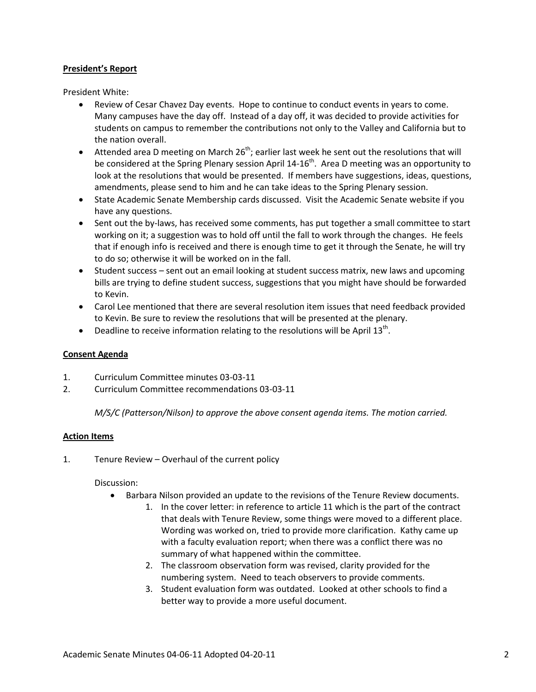### **President's Report**

President White:

- Review of Cesar Chavez Day events. Hope to continue to conduct events in years to come. Many campuses have the day off. Instead of a day off, it was decided to provide activities for students on campus to remember the contributions not only to the Valley and California but to the nation overall.
- $\bullet$  Attended area D meeting on March 26<sup>th</sup>; earlier last week he sent out the resolutions that will be considered at the Spring Plenary session April  $14-16<sup>th</sup>$ . Area D meeting was an opportunity to look at the resolutions that would be presented. If members have suggestions, ideas, questions, amendments, please send to him and he can take ideas to the Spring Plenary session.
- State Academic Senate Membership cards discussed. Visit the Academic Senate website if you have any questions.
- Sent out the by-laws, has received some comments, has put together a small committee to start working on it; a suggestion was to hold off until the fall to work through the changes. He feels that if enough info is received and there is enough time to get it through the Senate, he will try to do so; otherwise it will be worked on in the fall.
- Student success sent out an email looking at student success matrix, new laws and upcoming bills are trying to define student success, suggestions that you might have should be forwarded to Kevin.
- Carol Lee mentioned that there are several resolution item issues that need feedback provided to Kevin. Be sure to review the resolutions that will be presented at the plenary.
- Deadline to receive information relating to the resolutions will be April  $13<sup>th</sup>$ .

### **Consent Agenda**

- 1. Curriculum Committee minutes 03-03-11
- 2. Curriculum Committee recommendations 03-03-11

*M/S/C (Patterson/Nilson) to approve the above consent agenda items. The motion carried.*

#### **Action Items**

1. Tenure Review – Overhaul of the current policy

#### Discussion:

- Barbara Nilson provided an update to the revisions of the Tenure Review documents.
	- 1. In the cover letter: in reference to article 11 which is the part of the contract that deals with Tenure Review, some things were moved to a different place. Wording was worked on, tried to provide more clarification. Kathy came up with a faculty evaluation report; when there was a conflict there was no summary of what happened within the committee.
	- 2. The classroom observation form was revised, clarity provided for the numbering system. Need to teach observers to provide comments.
	- 3. Student evaluation form was outdated. Looked at other schools to find a better way to provide a more useful document.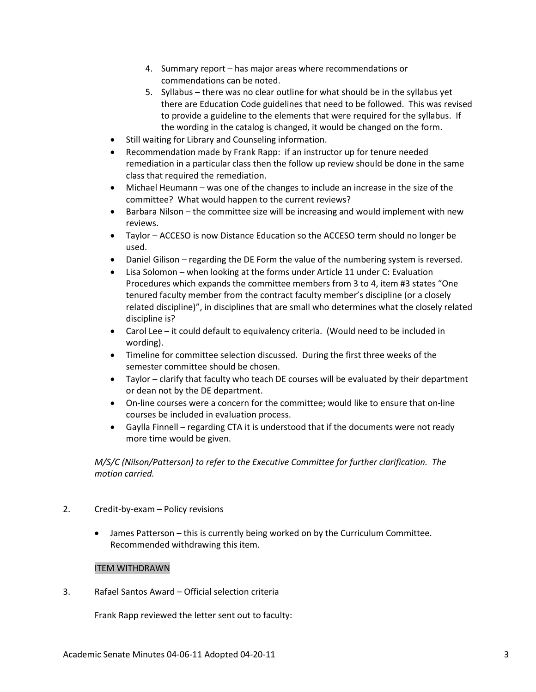- 4. Summary report has major areas where recommendations or commendations can be noted.
- 5. Syllabus there was no clear outline for what should be in the syllabus yet there are Education Code guidelines that need to be followed. This was revised to provide a guideline to the elements that were required for the syllabus. If the wording in the catalog is changed, it would be changed on the form.
- Still waiting for Library and Counseling information.
- Recommendation made by Frank Rapp: if an instructor up for tenure needed remediation in a particular class then the follow up review should be done in the same class that required the remediation.
- Michael Heumann was one of the changes to include an increase in the size of the committee? What would happen to the current reviews?
- Barbara Nilson the committee size will be increasing and would implement with new reviews.
- Taylor ACCESO is now Distance Education so the ACCESO term should no longer be used.
- Daniel Gilison regarding the DE Form the value of the numbering system is reversed.
- Lisa Solomon when looking at the forms under Article 11 under C: Evaluation Procedures which expands the committee members from 3 to 4, item #3 states "One tenured faculty member from the contract faculty member's discipline (or a closely related discipline)", in disciplines that are small who determines what the closely related discipline is?
- Carol Lee it could default to equivalency criteria. (Would need to be included in wording).
- Timeline for committee selection discussed. During the first three weeks of the semester committee should be chosen.
- Taylor clarify that faculty who teach DE courses will be evaluated by their department or dean not by the DE department.
- On-line courses were a concern for the committee; would like to ensure that on-line courses be included in evaluation process.
- Gaylla Finnell regarding CTA it is understood that if the documents were not ready more time would be given.

*M/S/C (Nilson/Patterson) to refer to the Executive Committee for further clarification. The motion carried.*

- 2. Credit-by-exam Policy revisions
	- James Patterson this is currently being worked on by the Curriculum Committee. Recommended withdrawing this item.

### ITEM WITHDRAWN

3. Rafael Santos Award – Official selection criteria

Frank Rapp reviewed the letter sent out to faculty: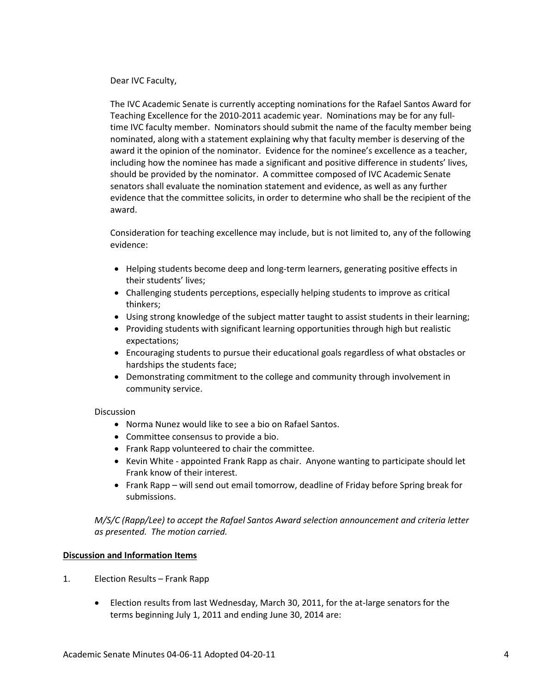#### Dear IVC Faculty,

The IVC Academic Senate is currently accepting nominations for the Rafael Santos Award for Teaching Excellence for the 2010-2011 academic year. Nominations may be for any fulltime IVC faculty member. Nominators should submit the name of the faculty member being nominated, along with a statement explaining why that faculty member is deserving of the award it the opinion of the nominator. Evidence for the nominee's excellence as a teacher, including how the nominee has made a significant and positive difference in students' lives, should be provided by the nominator. A committee composed of IVC Academic Senate senators shall evaluate the nomination statement and evidence, as well as any further evidence that the committee solicits, in order to determine who shall be the recipient of the award.

Consideration for teaching excellence may include, but is not limited to, any of the following evidence:

- Helping students become deep and long-term learners, generating positive effects in their students' lives;
- Challenging students perceptions, especially helping students to improve as critical thinkers;
- Using strong knowledge of the subject matter taught to assist students in their learning;
- Providing students with significant learning opportunities through high but realistic expectations;
- Encouraging students to pursue their educational goals regardless of what obstacles or hardships the students face;
- Demonstrating commitment to the college and community through involvement in community service.

### Discussion

- Norma Nunez would like to see a bio on Rafael Santos.
- Committee consensus to provide a bio.
- Frank Rapp volunteered to chair the committee.
- Kevin White appointed Frank Rapp as chair. Anyone wanting to participate should let Frank know of their interest.
- Frank Rapp will send out email tomorrow, deadline of Friday before Spring break for submissions.

*M/S/C (Rapp/Lee) to accept the Rafael Santos Award selection announcement and criteria letter as presented. The motion carried.*

### **Discussion and Information Items**

- 1. Election Results Frank Rapp
	- Election results from last Wednesday, March 30, 2011, for the at-large senators for the terms beginning July 1, 2011 and ending June 30, 2014 are: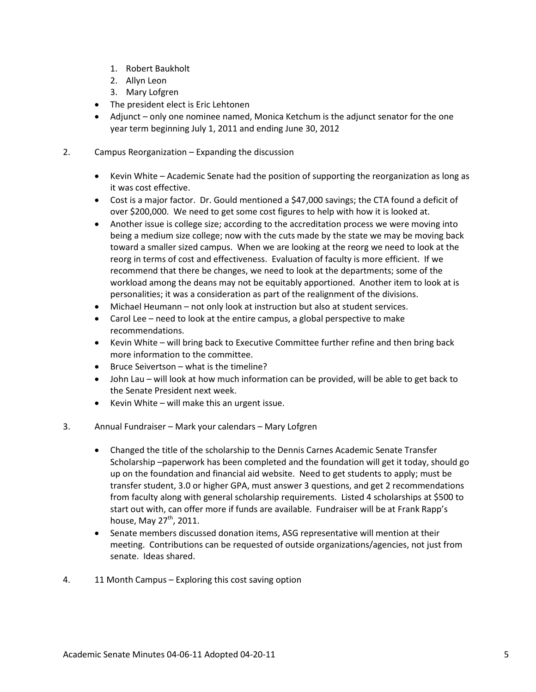- 1. Robert Baukholt
- 2. Allyn Leon
- 3. Mary Lofgren
- The president elect is Eric Lehtonen
- Adjunct only one nominee named, Monica Ketchum is the adjunct senator for the one year term beginning July 1, 2011 and ending June 30, 2012
- 2. Campus Reorganization Expanding the discussion
	- Kevin White Academic Senate had the position of supporting the reorganization as long as it was cost effective.
	- Cost is a major factor. Dr. Gould mentioned a \$47,000 savings; the CTA found a deficit of over \$200,000. We need to get some cost figures to help with how it is looked at.
	- Another issue is college size; according to the accreditation process we were moving into being a medium size college; now with the cuts made by the state we may be moving back toward a smaller sized campus. When we are looking at the reorg we need to look at the reorg in terms of cost and effectiveness. Evaluation of faculty is more efficient. If we recommend that there be changes, we need to look at the departments; some of the workload among the deans may not be equitably apportioned. Another item to look at is personalities; it was a consideration as part of the realignment of the divisions.
	- Michael Heumann not only look at instruction but also at student services.
	- Carol Lee need to look at the entire campus, a global perspective to make recommendations.
	- Kevin White will bring back to Executive Committee further refine and then bring back more information to the committee.
	- Bruce Seivertson what is the timeline?
	- John Lau will look at how much information can be provided, will be able to get back to the Senate President next week.
	- Kevin White will make this an urgent issue.
- 3. Annual Fundraiser Mark your calendars Mary Lofgren
	- Changed the title of the scholarship to the Dennis Carnes Academic Senate Transfer Scholarship –paperwork has been completed and the foundation will get it today, should go up on the foundation and financial aid website. Need to get students to apply; must be transfer student, 3.0 or higher GPA, must answer 3 questions, and get 2 recommendations from faculty along with general scholarship requirements. Listed 4 scholarships at \$500 to start out with, can offer more if funds are available. Fundraiser will be at Frank Rapp's house, May  $27<sup>th</sup>$ , 2011.
	- Senate members discussed donation items, ASG representative will mention at their meeting. Contributions can be requested of outside organizations/agencies, not just from senate. Ideas shared.
- 4. 11 Month Campus Exploring this cost saving option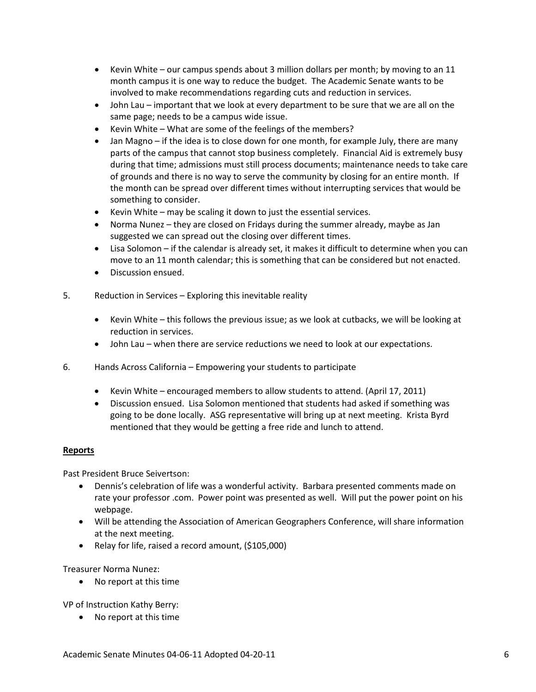- Kevin White our campus spends about 3 million dollars per month; by moving to an 11 month campus it is one way to reduce the budget. The Academic Senate wants to be involved to make recommendations regarding cuts and reduction in services.
- John Lau important that we look at every department to be sure that we are all on the same page; needs to be a campus wide issue.
- Kevin White What are some of the feelings of the members?
- Jan Magno if the idea is to close down for one month, for example July, there are many parts of the campus that cannot stop business completely. Financial Aid is extremely busy during that time; admissions must still process documents; maintenance needs to take care of grounds and there is no way to serve the community by closing for an entire month. If the month can be spread over different times without interrupting services that would be something to consider.
- Kevin White may be scaling it down to just the essential services.
- Norma Nunez they are closed on Fridays during the summer already, maybe as Jan suggested we can spread out the closing over different times.
- Lisa Solomon if the calendar is already set, it makes it difficult to determine when you can move to an 11 month calendar; this is something that can be considered but not enacted.
- Discussion ensued.
- 5. Reduction in Services Exploring this inevitable reality
	- Kevin White this follows the previous issue; as we look at cutbacks, we will be looking at reduction in services.
	- John Lau when there are service reductions we need to look at our expectations.
- 6. Hands Across California Empowering your students to participate
	- Kevin White encouraged members to allow students to attend. (April 17, 2011)
	- Discussion ensued. Lisa Solomon mentioned that students had asked if something was going to be done locally. ASG representative will bring up at next meeting. Krista Byrd mentioned that they would be getting a free ride and lunch to attend.

### **Reports**

Past President Bruce Seivertson:

- Dennis's celebration of life was a wonderful activity. Barbara presented comments made on rate your professor .com. Power point was presented as well. Will put the power point on his webpage.
- Will be attending the Association of American Geographers Conference, will share information at the next meeting.
- Relay for life, raised a record amount, (\$105,000)

Treasurer Norma Nunez:

• No report at this time

VP of Instruction Kathy Berry:

• No report at this time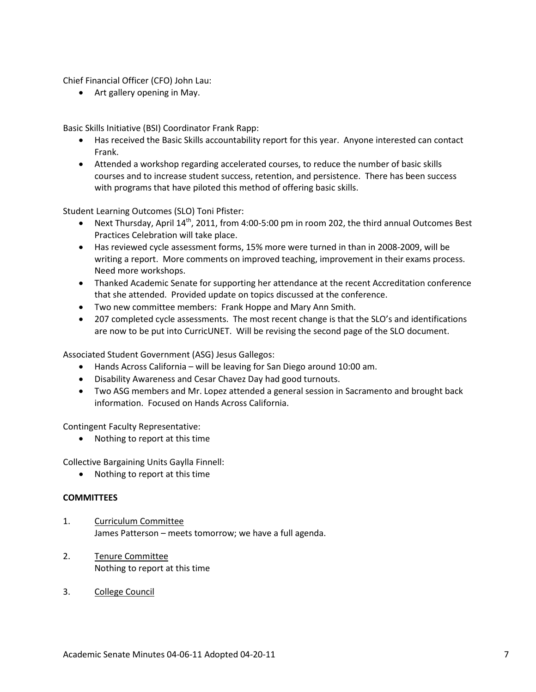Chief Financial Officer (CFO) John Lau:

• Art gallery opening in May.

Basic Skills Initiative (BSI) Coordinator Frank Rapp:

- Has received the Basic Skills accountability report for this year. Anyone interested can contact Frank.
- Attended a workshop regarding accelerated courses, to reduce the number of basic skills courses and to increase student success, retention, and persistence. There has been success with programs that have piloted this method of offering basic skills.

Student Learning Outcomes (SLO) Toni Pfister:

- Next Thursday, April  $14<sup>th</sup>$ , 2011, from 4:00-5:00 pm in room 202, the third annual Outcomes Best Practices Celebration will take place.
- Has reviewed cycle assessment forms, 15% more were turned in than in 2008-2009, will be writing a report. More comments on improved teaching, improvement in their exams process. Need more workshops.
- Thanked Academic Senate for supporting her attendance at the recent Accreditation conference that she attended. Provided update on topics discussed at the conference.
- Two new committee members: Frank Hoppe and Mary Ann Smith.
- 207 completed cycle assessments. The most recent change is that the SLO's and identifications are now to be put into CurricUNET. Will be revising the second page of the SLO document.

Associated Student Government (ASG) Jesus Gallegos:

- Hands Across California will be leaving for San Diego around 10:00 am.
- Disability Awareness and Cesar Chavez Day had good turnouts.
- Two ASG members and Mr. Lopez attended a general session in Sacramento and brought back information. Focused on Hands Across California.

Contingent Faculty Representative:

• Nothing to report at this time

Collective Bargaining Units Gaylla Finnell:

• Nothing to report at this time

#### **COMMITTEES**

- 1. Curriculum Committee James Patterson – meets tomorrow; we have a full agenda.
- 2. Tenure Committee Nothing to report at this time
- 3. College Council